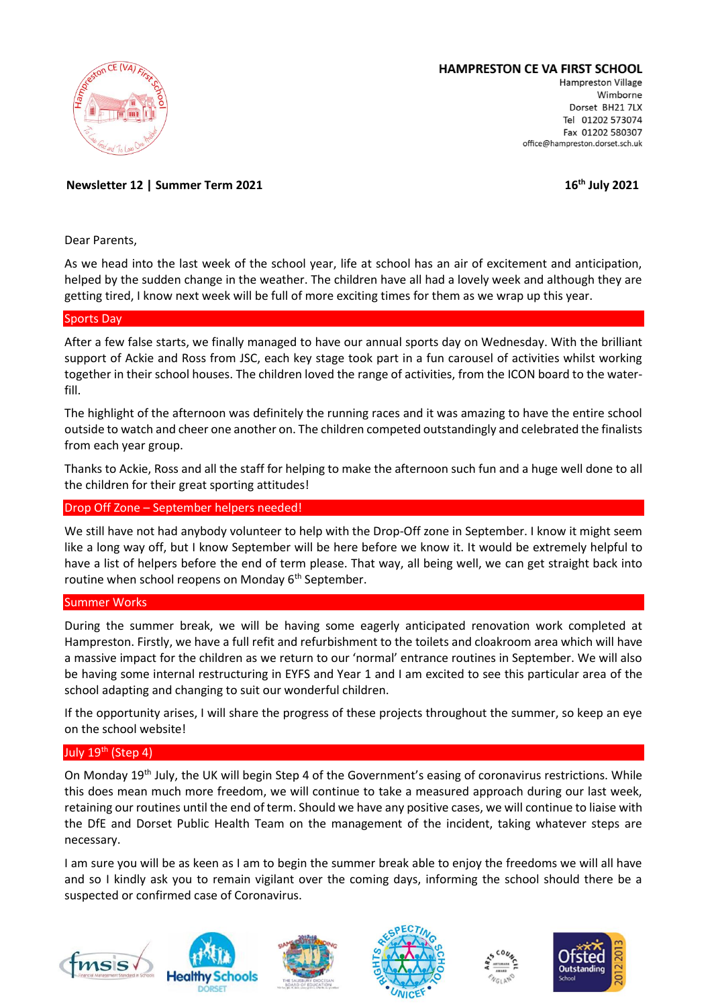

# **HAMPRESTON CE VA FIRST SCHOOL**

Hampreston Village Wimborne Dorset BH21 7LX Tel 01202 573074 Fax 01202 580307 office@hampreston.dorset.sch.uk

**Newsletter 12 | Summer Term 2021 16th July 2021**

Dear Parents,

As we head into the last week of the school year, life at school has an air of excitement and anticipation, helped by the sudden change in the weather. The children have all had a lovely week and although they are getting tired, I know next week will be full of more exciting times for them as we wrap up this year.

## Sports Day

After a few false starts, we finally managed to have our annual sports day on Wednesday. With the brilliant support of Ackie and Ross from JSC, each key stage took part in a fun carousel of activities whilst working together in their school houses. The children loved the range of activities, from the ICON board to the waterfill.

The highlight of the afternoon was definitely the running races and it was amazing to have the entire school outside to watch and cheer one another on. The children competed outstandingly and celebrated the finalists from each year group.

Thanks to Ackie, Ross and all the staff for helping to make the afternoon such fun and a huge well done to all the children for their great sporting attitudes!

## Drop Off Zone – September helpers needed!

We still have not had anybody volunteer to help with the Drop-Off zone in September. I know it might seem like a long way off, but I know September will be here before we know it. It would be extremely helpful to have a list of helpers before the end of term please. That way, all being well, we can get straight back into routine when school reopens on Monday 6<sup>th</sup> September.

## Summer Works

During the summer break, we will be having some eagerly anticipated renovation work completed at Hampreston. Firstly, we have a full refit and refurbishment to the toilets and cloakroom area which will have a massive impact for the children as we return to our 'normal' entrance routines in September. We will also be having some internal restructuring in EYFS and Year 1 and I am excited to see this particular area of the school adapting and changing to suit our wonderful children.

If the opportunity arises, I will share the progress of these projects throughout the summer, so keep an eye on the school website!

## July 19<sup>th</sup> (Step 4)

On Monday 19th July, the UK will begin Step 4 of the Government's easing of coronavirus restrictions. While this does mean much more freedom, we will continue to take a measured approach during our last week, retaining our routines until the end of term. Should we have any positive cases, we will continue to liaise with the DfE and Dorset Public Health Team on the management of the incident, taking whatever steps are necessary.

I am sure you will be as keen as I am to begin the summer break able to enjoy the freedoms we will all have and so I kindly ask you to remain vigilant over the coming days, informing the school should there be a suspected or confirmed case of Coronavirus.











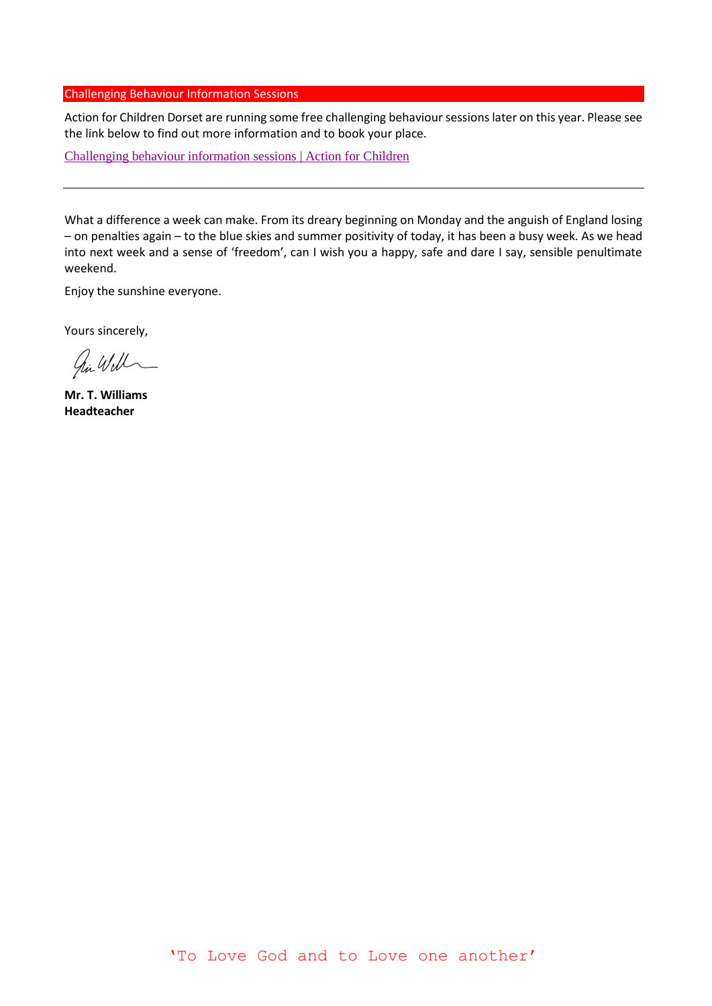#### Challenging Behaviour Information Sessions

Action for Children Dorset are running some free challenging behaviour sessions later on this year. Please see the link below to find out more information and to book your place.

[Challenging behaviour information sessions | Action for Children](https://services.actionforchildren.org.uk/dorset-services/for-parents-and-carers/behaviours-that-challenge-us-workshops/)

What a difference a week can make. From its dreary beginning on Monday and the anguish of England losing – on penalties again – to the blue skies and summer positivity of today, it has been a busy week. As we head into next week and a sense of 'freedom', can I wish you a happy, safe and dare I say, sensible penultimate weekend.

Enjoy the sunshine everyone.

Yours sincerely,

hi Will

**Mr. T. Williams Headteacher**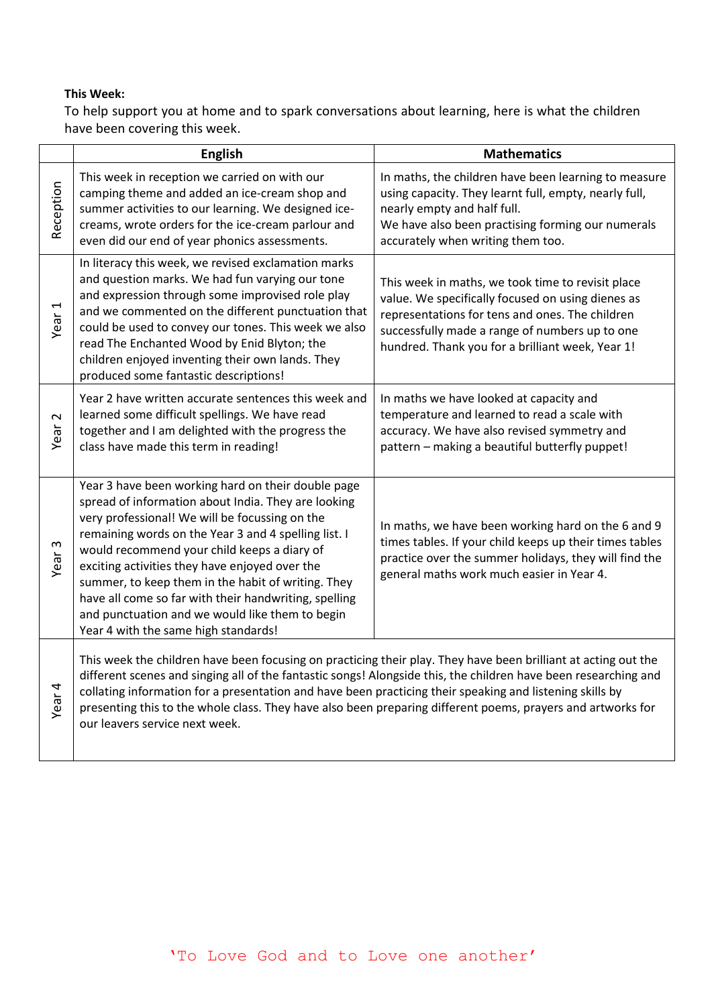# **This Week:**

To help support you at home and to spark conversations about learning, here is what the children have been covering this week.

|                   | <b>English</b>                                                                                                                                                                                                                                                                                                                                                                                                                                                                                                                 | <b>Mathematics</b>                                                                                                                                                                                                                                              |
|-------------------|--------------------------------------------------------------------------------------------------------------------------------------------------------------------------------------------------------------------------------------------------------------------------------------------------------------------------------------------------------------------------------------------------------------------------------------------------------------------------------------------------------------------------------|-----------------------------------------------------------------------------------------------------------------------------------------------------------------------------------------------------------------------------------------------------------------|
| Reception         | This week in reception we carried on with our<br>camping theme and added an ice-cream shop and<br>summer activities to our learning. We designed ice-<br>creams, wrote orders for the ice-cream parlour and<br>even did our end of year phonics assessments.                                                                                                                                                                                                                                                                   | In maths, the children have been learning to measure<br>using capacity. They learnt full, empty, nearly full,<br>nearly empty and half full.<br>We have also been practising forming our numerals<br>accurately when writing them too.                          |
| Year 1            | In literacy this week, we revised exclamation marks<br>and question marks. We had fun varying our tone<br>and expression through some improvised role play<br>and we commented on the different punctuation that<br>could be used to convey our tones. This week we also<br>read The Enchanted Wood by Enid Blyton; the<br>children enjoyed inventing their own lands. They<br>produced some fantastic descriptions!                                                                                                           | This week in maths, we took time to revisit place<br>value. We specifically focused on using dienes as<br>representations for tens and ones. The children<br>successfully made a range of numbers up to one<br>hundred. Thank you for a brilliant week, Year 1! |
| $\sim$<br>Year    | Year 2 have written accurate sentences this week and<br>learned some difficult spellings. We have read<br>together and I am delighted with the progress the<br>class have made this term in reading!                                                                                                                                                                                                                                                                                                                           | In maths we have looked at capacity and<br>temperature and learned to read a scale with<br>accuracy. We have also revised symmetry and<br>pattern - making a beautiful butterfly puppet!                                                                        |
| Year <sub>3</sub> | Year 3 have been working hard on their double page<br>spread of information about India. They are looking<br>very professional! We will be focussing on the<br>remaining words on the Year 3 and 4 spelling list. I<br>would recommend your child keeps a diary of<br>exciting activities they have enjoyed over the<br>summer, to keep them in the habit of writing. They<br>have all come so far with their handwriting, spelling<br>and punctuation and we would like them to begin<br>Year 4 with the same high standards! | In maths, we have been working hard on the 6 and 9<br>times tables. If your child keeps up their times tables<br>practice over the summer holidays, they will find the<br>general maths work much easier in Year 4.                                             |
| Year <sub>4</sub> | This week the children have been focusing on practicing their play. They have been brilliant at acting out the<br>different scenes and singing all of the fantastic songs! Alongside this, the children have been researching and<br>collating information for a presentation and have been practicing their speaking and listening skills by<br>presenting this to the whole class. They have also been preparing different poems, prayers and artworks for<br>our leavers service next week.                                 |                                                                                                                                                                                                                                                                 |